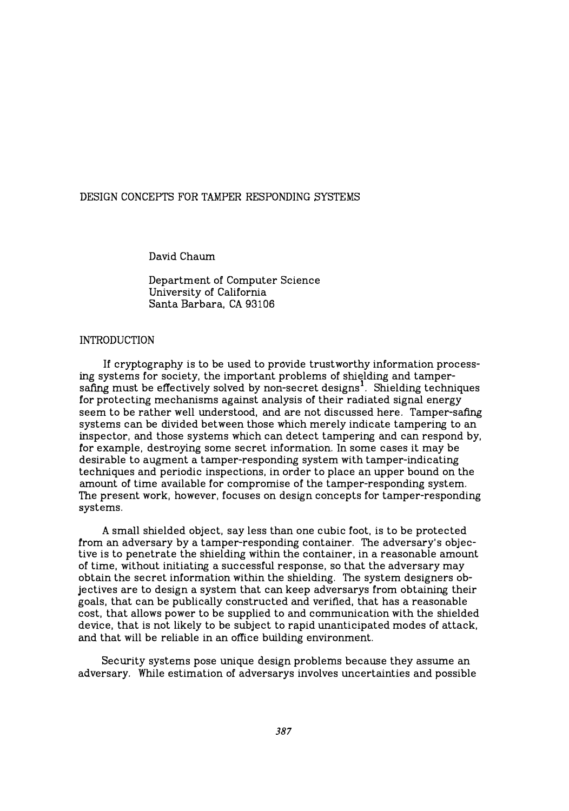# DESIGN CONCEPTS FOR TAMPER RESPONDING SYSTEMS

David Chaum

Department of Computer Science University of California Santa Barbara, CA 93106

# INTRODUCTION

If cryptography is to be used to provide trustworthy information processing systems for society, the important problems of shielding and tampersafing must be effectively solved by non-secret designs $^{\rm 1}$ . Shielding techniques for protecting mechanisms against analysis of their radiated signal energy seem to be rather well understood, and are not discussed here. Tamper-safing systems can be divided between those which merely indicate tampering to an inspector, and those systems which can detect tampering and can respond by, for example, destroying some secret information. In some cases it may be desirable to augment a tamper-responding system with tamper-indicating techniques and periodic inspections, in order to place an upper bound on the amount of time available for compromise of the tamper-responding system. The present work, however, focuses on design concepts for tamper-responding systems.

A small shielded object, say less than one cubic foot, is to be protected from an adversary by a tamper-responding container. The adversary's objective is to penetrate the shielding within the container, in a reasonable amount of time, without initiating a successful response, so that the adversary may obtain the secret information within the shielding. The system designers objectives are to design a system that can keep adversarys from obtaining their goals, that can be publically constructed and verified, that has a reasonable cost, that allows power to be supplied to and communication with the shielded device, that is not likely to be subject to rapid unanticipated modes of attack, and that will be reliable in an office building environment.

Security systems pose unique design problems because they assume an adversary. While estimation of adversarys involves uncertainties and possible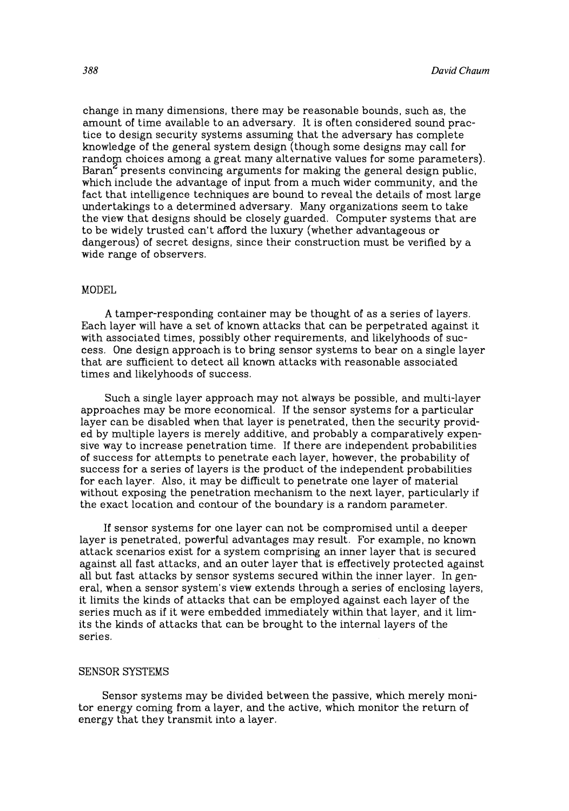change in many dimensions, there may be reasonable bounds, such as, the amount of time available to an adversary. It is often considered sound practice to design security systems assuming that the adversary has complete knowledge of the general system design (though some designs may call for random choices among a great many alternative values for some parameters).  $Baran^2$  presents convincing arguments for making the general design public, which include the advantage of input from a much wider community, and the fact that intelligence techniques are bound to reveal the details of most large undertakings to a determined adversary. Many organizations seem to take the view that designs should be closely guarded. Computer systems that are to be widely trusted can't afford the luxury (whether advantageous or dangerous) of secret designs, since their construction must be verified by a wide range of observers.

### **MODEL**

A tamper-responding container may be thought of as a series of layers. Each layer will have a set of known attacks that can be perpetrated against it with associated times, possibly other requirements, and likelyhoods of success. One design approach is to bring sensor systems to bear on a single layer that are sufficient to detect all known attacks with reasonable associated times and likelyhoods of success.

Such a single layer approach may not always be possible, and multi-layer approaches may be more economical. If the sensor systems for a particular layer can be disabled when that layer is penetrated, then the security provided by multiple layers is merely additive, and probably a comparatively expensive way to increase penetration time. If there are independent probabilities of success for attempts to penetrate each layer, however, the probability of success for a series of layers is the product of the independent probabilities for each layer. Also, it may be difficult to penetrate one layer of material without exposing the penetration mechanism to the next layer, particularly if the exact location and contour of the boundary is a random parameter.

If sensor systems for one layer can not be compromised until a deeper layer is penetrated, powerful advantages may result. For example, no known attack scenarios exist for a system comprising an inner layer that is secured against all fast attacks, and an outer layer that is effectively protected against all but fast attacks by sensor systems secured within the inner layer. In general. when a sensor system's view extends through a series of enclosing layers, it limits the kinds of attacks that can be employed against each layer of the series much as if it were embedded immediately within that layer, and it limits the kinds of attacks that can be brought to the internal layers of the series.

## SENSOR SYSTEMS

Sensor systems may be divided between the passive, which merely monitor energy coming from a layer, and the active, which monitor the return of energy that they transmit into a layer.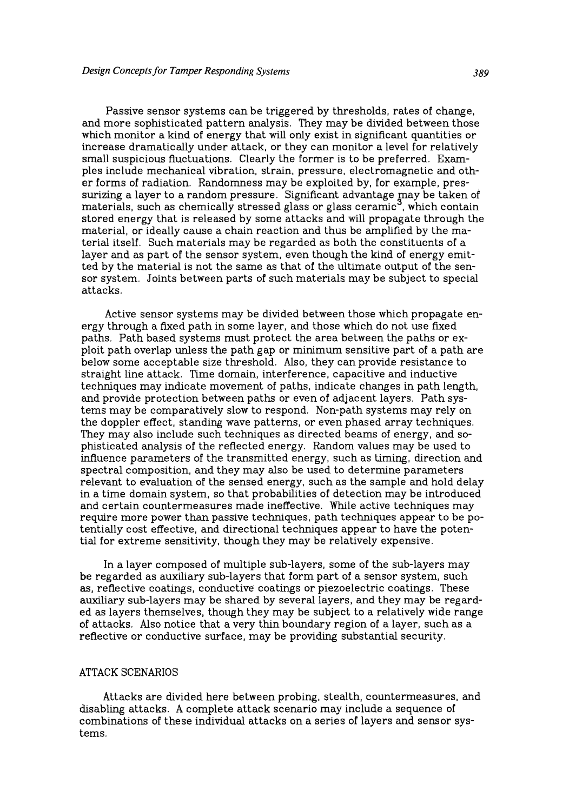Passive sensor systems can be triggered by thresholds, rates of change, and more sophisticated pattern analysis. They may be divided between those which monitor a kind of energy that will only exist in significant quantities or increase dramatically under attack, or they can monitor a level for relatively small suspicious fluctuations. Clearly the former is to be preferred. Examples include mechanical vibration, strain, pressure, electromagnetic and other forms of radiation. Randomness may be exploited by, for example, pressurizing a layer to a random pressure. Significant advantage may be taken of materials, such as chemically stressed glass or glass ceramic<sup>3</sup>, which contain stored energy that is released by some attacks and will propagate through the material, or ideally cause a chain reaction and thus be amplified by the material itself. Such materials may be regarded as both the constituents of a layer and as part of the sensor system, even though the kind of energy emitted by the material is not the same as that of the ultimate output of the sensor system. Joints between parts of such materials may be subject to special attacks.

Active sensor systems may be divided between those which propagate energy through a fixed path in some layer, and those which do not use fixed paths. Path based systems must protect the area between the paths or exploit path overlap unless the path gap or minimum sensitive part of a path are below some acceptable size threshold. Also, they can provide resistance to straight line attack. Time domain, interference, capacitive and inductive techniques may indicate movement of paths, indicate changes in path length, and provide protection between paths or even of adjacent layers. Path systems may be comparatively slow to respond. Non-path systems may rely on the doppler effect, standing wave patterns, or even phased array techniques. They may also include such techniques as directed beams of energy, and sophisticated analysis of the reflected energy. Random values may be used to influence parameters of the transmitted energy, such as timing, direction and spectral composition, and they may also be used to determine parameters relevant to evaluation of the sensed energy, such as the sample and hold delay in a time domain system, so that probabilities of detection may be introduced and certain countermeasures made ineffective. While active techniques may require more power than passive techniques, path techniques appear to be potentially cost effective, and directional techniques appear to have the potential for extreme sensitivity, though they may be relatively expensive.

In a layer composed of multiple sub-layers, some of the sub-layers may be regarded as auxiliary sub-layers that form part of a sensor system, such as, reflective coatings, conductive coatings or piezoelectric coatings. These auxiliary sub-layers may be shared by several layers, and they may be regarded as layers themselves, though they may be subject to a relatively wide range of attacks. Also notice that a very thin boundary region of a layer, such as a reflective or conductive surface, may be providing substantial security.

#### ATTACK SCENARIOS

Attacks are divided here between probing, stealth, countermeasures, and disabling attacks. A complete attack scenario may include a sequence of combinations of these individual attacks on a series of layers and sensor systems.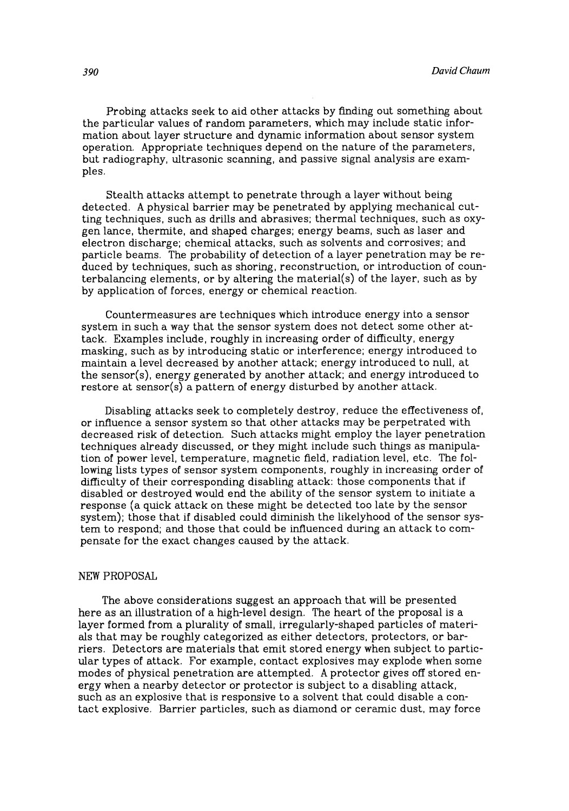Probing attacks seek to aid other attacks by finding out something about the particular values of random parameters, which may include static information about layer structure and dynamic information about sensor system operation. Appropriate techniques depend on the nature of the parameters, but radiography, ultrasonic scanning, and passive signal analysis are examples.

Stealth attacks attempt to penetrate through a layer without being detected. A physical barrier may be penetrated by applying mechanical cutting techniques, such as drills and abrasives; thermal techniques, such as oxygen lance, thermite, and shaped charges; energy beams, such as laser and electron discharge; chemical attacks, such as solvents and corrosives; and particle beams. The probability of detection of a layer penetration may be reduced by techniques, such as shoring, reconstruction, or introduction of counterbalancing elements, or by altering the material(s) of the layer, such as by by application of forces, energy or chemical reaction.

Countermeasures are techniques which introduce energy into a sensor system in such a way that the sensor system does not detect some other attack. Examples include, roughly in increasing order of difficulty, energy masking, such as by introducing static or interference; energy introduced to maintain a level decreased by another attack; energy introduced to null, at the sensor(s), energy generated by another attack; and energy introduced to restore at sensor(s) a pattern of energy disturbed by another attack.

Disabling attacks seek to completely destroy, reduce the effectiveness of, or influence a sensor system so that other attacks may be perpetrated with decreased risk of detection. Such attacks might employ the layer penetration techniques already discussed, or they might include such things as manipulation of power level, temperature, magnetic field, radiation level, etc. The following lists types of sensor system components, roughly in increasing order of difficulty of their corresponding disabling attack: those components that if disabled or destroyed would end the ability of the sensor system to initiate a response (a quick attack on these might be detected too late by the sensor system); those that if disabled could diminish the likelyhood of the sensor system to respond; and those that could be influenced during an attack to compensate for the exact changes caused by the attack.

### NEW PROPOSAL

The above considerations suggest an approach that will be presented here as an illustration of a high-level design. The heart of the proposal is a layer formed from a plurality of small, irregularly-shaped particles of materials that may be roughly categorized as either detectors, protectors, or barriers. Detectors are materials that emit stored energy when subject to particular types of attack. For example, contact explosives may explode when some modes of physical penetration are attempted. A protector gives off stored energy when a nearby detector or protector is subject to a disabling attack, such as an explosive that is responsive to a solvent that could disable a contact explosive. Barrier particles, such as diamond or ceramic dust, may force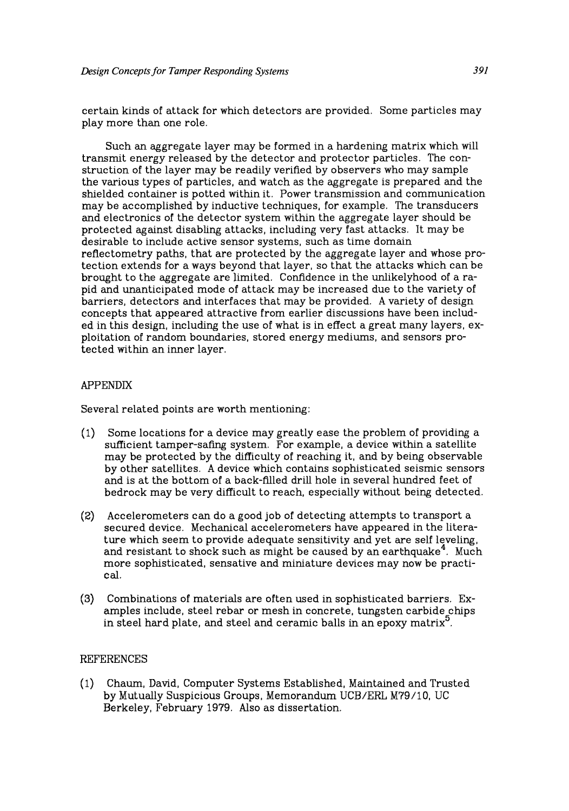certain kinds of attack for which detectors are provided. Some particles may play more than one role.

Such an aggregate layer may be formed in a hardening matrix which will transmit energy released by the detector and protector particles. The construction of the layer may be readily verified by observers who may sample the various types of particles, and watch as the aggregate is prepared and the shielded container is potted within it. Power transmission and communication may be accomplished by inductive techniques, for example. The transducers and electronics of the detector system within the aggregate layer should be protected against disabling attacks, including very fast attacks. It may be desirable to include active sensor systems, such as time domain refiectometry paths, that are protected by the aggregate layer and whose protection extends for a ways beyond that layer, so that the attacks which can be brought to the aggregate are limited. Confidence in the unlikelyhood of a rapid and unanticipated mode of attack may be increased due to the variety of barriers, detectors and interfaces that may be provided. A variety of design concepts that appeared attractive from earlier discussions have been included in this design, including the use of what is in effect a great many layers, exploitation of random boundaries, stored energy mediums, and sensors protected within an inner layer.

### APPENDIX

Several related points are worth mentioning:

- (1) Some locations for a device may greatly ease the problem of providing a sufficient tamper-sating system. For example, a device within a satellite may be protected by the difficulty of reaching it, and by being observable by other satellites. A device which contains sophisticated seismic sensors and is at the bottom of a back-filled drill hole in several hundred feet of bedrock may be very difficult to reach, especially without being detected.
- (2) Accelerometers can do a good job of detecting attempts to transport a secured device. Mechanical accelerometers have appeared in the literature which seem to provide adequate sensitivity and yet are self leveling, and resistant to shock such as might be caused by an earthquake<sup>4</sup>. Much more sophisticated, sensative and miniature devices may now be practical.
- (3) Combinations of materials are often used in sophisticated barriers. Examples include, steel rebar or mesh in concrete, tungsten carbide chips in steel hard plate, and steel and ceramic balls in an epoxy matrix $5$ .

## REFERENCES

(1) Chaum, David, Computer Systems Established, Maintained and Trusted by Mutually Suspicious Groups, Memorandum *UCB/ERL M79/10,* UC Berkeley, February 1979. Also as dissertation.